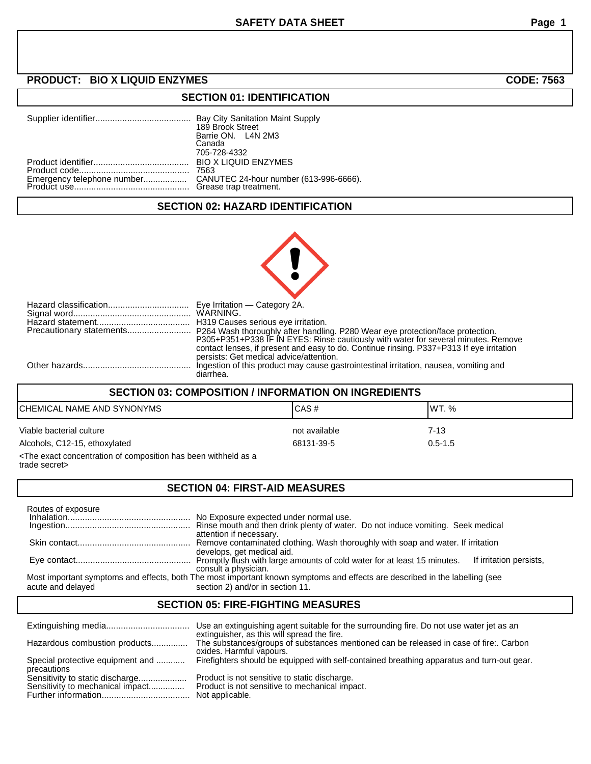### **SECTION 01: IDENTIFICATION**

| 189 Brook Street<br>Barrie ON. L4N 2M3<br>Canada<br>705-728-4332 |
|------------------------------------------------------------------|
| 7563                                                             |

## **SECTION 02: HAZARD IDENTIFICATION**

| P305+P351+P338 IF IN EYES: Rinse cautiously with water for several minutes. Remove<br>contact lenses, if present and easy to do. Continue rinsing. P337+P313 If eye irritation<br>persists: Get medical advice/attention. |
|---------------------------------------------------------------------------------------------------------------------------------------------------------------------------------------------------------------------------|
| Ingestion of this product may cause gastrointestinal irritation, nausea, vomiting and<br>diarrhea.                                                                                                                        |

### **SECTION 03: COMPOSITION / INFORMATION ON INGREDIENTS**

| CHEMICAL NAME AND SYNONYMS                                  | ICAS#         | IWT. %      |
|-------------------------------------------------------------|---------------|-------------|
| Viable bacterial culture                                    | not available | 7-13        |
| Alcohols, C12-15, ethoxylated                               | 68131-39-5    | $0.5 - 1.5$ |
| a puest concentration of composition has been withhold as a |               |             |

<The exact concentration of composition has been withheld as a trade secret>

# **SECTION 04: FIRST-AID MEASURES**

| Routes of exposure |                                                                                                                                                                 |
|--------------------|-----------------------------------------------------------------------------------------------------------------------------------------------------------------|
|                    |                                                                                                                                                                 |
|                    | No Exposure expected under normal use.<br>Rinse mouth and then drink plenty of water. Do not induce vomiting. Seek medical<br>attention if necessary.           |
|                    | Remove contaminated clothing. Wash thoroughly with soap and water. If irritation<br>develops, get medical aid.                                                  |
|                    | If irritation persists,<br>consult a physician.                                                                                                                 |
| acute and delayed  | Most important symptoms and effects, both The most important known symptoms and effects are described in the labelling (see<br>section 2) and/or in section 11. |

### **SECTION 05: FIRE-FIGHTING MEASURES**

|                                                                     | Use an extinguishing agent suitable for the surrounding fire. Do not use water jet as an<br>extinguisher, as this will spread the fire. |
|---------------------------------------------------------------------|-----------------------------------------------------------------------------------------------------------------------------------------|
| Hazardous combustion products                                       | The substances/groups of substances mentioned can be released in case of fire:. Carbon<br>oxides. Harmful vapours.                      |
| Special protective equipment and<br>precautions                     | Firefighters should be equipped with self-contained breathing apparatus and turn-out gear.                                              |
| Sensitivity to static discharge<br>Sensitivity to mechanical impact | Product is not sensitive to static discharge.<br>Product is not sensitive to mechanical impact.<br>Not applicable.                      |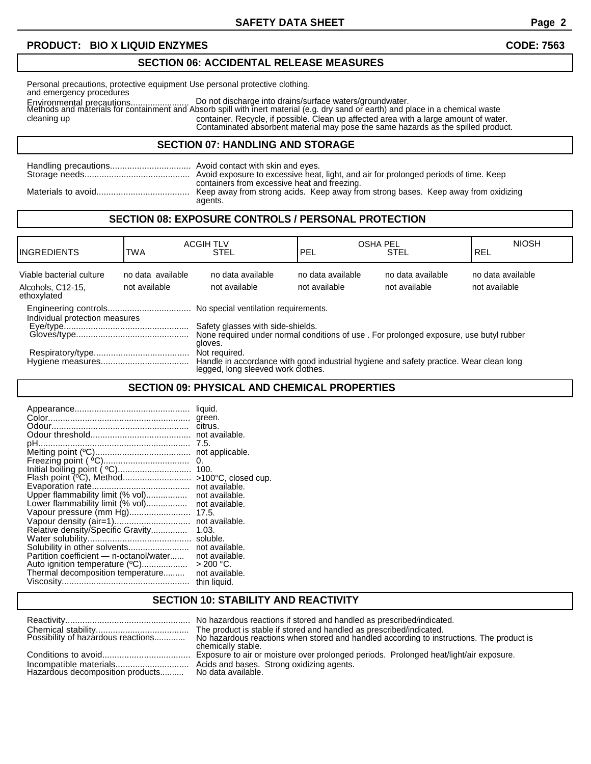## **SECTION 06: ACCIDENTAL RELEASE MEASURES**

Environmental precautions........................ Do not discharge into drains/surface waters/groundwater. Personal precautions, protective equipment Use personal protective clothing. and emergency procedures Methods and materials for containment and Absorb spill with inert material (e.g. dry sand or earth) and place in a chemical waste cleaning up container. Recycle, if possible. Clean up affected area with a large amount of water. Contaminated absorbent material may pose the same hazards as the spilled product.

#### **SECTION 07: HANDLING AND STORAGE**

| Avoid exposure to excessive heat, light, and air for prolonged periods of time. Keep                                                          |
|-----------------------------------------------------------------------------------------------------------------------------------------------|
| containers from excessive heat and freezing.<br>Keep away from strong acids. Keep away from strong bases. Keep away from oxidizing<br>agents. |

#### **SECTION 08: EXPOSURE CONTROLS / PERSONAL PROTECTION**

| <b>IINGREDIENTS</b>                                                                                                                                                                                                                                                                                                       | <b>TWA</b>                         | <b>ACGIH TLV</b><br><b>STEL</b>    | <b>OSHA PEL</b><br>l PEL           | <b>STEL</b>                        | <b>NIOSH</b><br><b>REL</b>         |
|---------------------------------------------------------------------------------------------------------------------------------------------------------------------------------------------------------------------------------------------------------------------------------------------------------------------------|------------------------------------|------------------------------------|------------------------------------|------------------------------------|------------------------------------|
| Viable bacterial culture<br>Alcohols, C12-15,<br>ethoxylated                                                                                                                                                                                                                                                              | no data available<br>not available | no data available<br>not available | no data available<br>not available | no data available<br>not available | no data available<br>not available |
| Individual protection measures<br>Safety glasses with side-shields.<br>None required under normal conditions of use. For prolonged exposure, use butyl rubber<br>gloves.<br>Not required.<br>Handle in accordance with good industrial hygiene and safety practice. Wear clean long<br>legged, long sleeved work clothes. |                                    |                                    |                                    |                                    |                                    |

## **SECTION 09: PHYSICAL AND CHEMICAL PROPERTIES**

## **SECTION 10: STABILITY AND REACTIVITY**

|                                    | No hazardous reactions if stored and handled as prescribed/indicated.                                          |
|------------------------------------|----------------------------------------------------------------------------------------------------------------|
|                                    | The product is stable if stored and handled as prescribed/indicated.                                           |
| Possibility of hazardous reactions | No hazardous reactions when stored and handled according to instructions. The product is<br>chemically stable. |
|                                    | Exposure to air or moisture over prolonged periods. Prolonged heat/light/air exposure.                         |
| Hazardous decomposition products   | Acids and bases. Strong oxidizing agents.<br>No data available.                                                |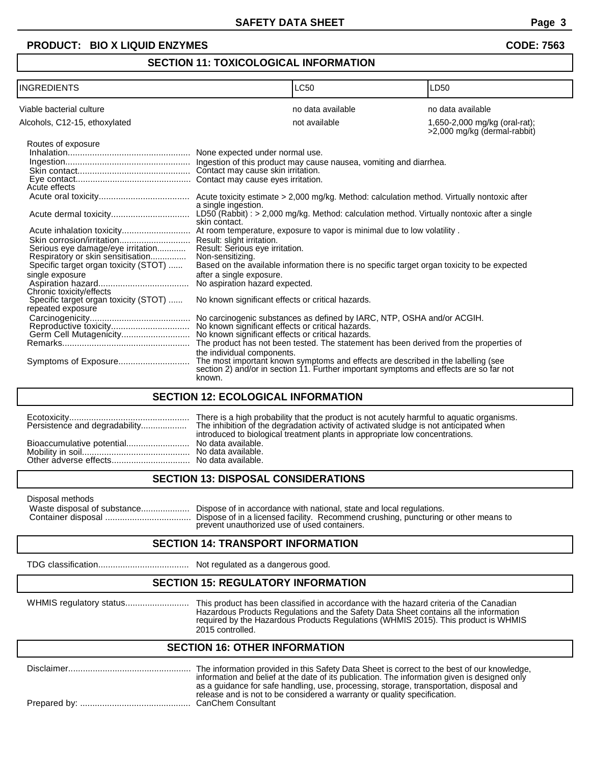#### **SECTION 11: TOXICOLOGICAL INFORMATION**

| <b>INGREDIENTS</b>                                                                                                                                                                                                                                                                                                                                                                                     |                                                                                                                                                                                                                                                                                                                                                                  | LC50                                                                                                                                                                                                                                                                                                                                                                                                                                                                                                                                           | LD50                                                          |
|--------------------------------------------------------------------------------------------------------------------------------------------------------------------------------------------------------------------------------------------------------------------------------------------------------------------------------------------------------------------------------------------------------|------------------------------------------------------------------------------------------------------------------------------------------------------------------------------------------------------------------------------------------------------------------------------------------------------------------------------------------------------------------|------------------------------------------------------------------------------------------------------------------------------------------------------------------------------------------------------------------------------------------------------------------------------------------------------------------------------------------------------------------------------------------------------------------------------------------------------------------------------------------------------------------------------------------------|---------------------------------------------------------------|
| Viable bacterial culture                                                                                                                                                                                                                                                                                                                                                                               |                                                                                                                                                                                                                                                                                                                                                                  | no data available                                                                                                                                                                                                                                                                                                                                                                                                                                                                                                                              | no data available                                             |
| Alcohols, C12-15, ethoxylated                                                                                                                                                                                                                                                                                                                                                                          |                                                                                                                                                                                                                                                                                                                                                                  | not available                                                                                                                                                                                                                                                                                                                                                                                                                                                                                                                                  | 1,650-2,000 mg/kg (oral-rat);<br>>2,000 mg/kg (dermal-rabbit) |
| Routes of exposure<br>Acute effects<br>Skin corrosion/irritation Result: slight irritation.<br>Serious eye damage/eye irritation<br>Respiratory or skin sensitisation<br>Specific target organ toxicity (STOT)<br>single exposure<br>Chronic toxicity/effects<br>Specific target organ toxicity (STOT)<br>repeated exposure<br>Reproductive toxicity<br>Germ Cell Mutagenicity<br>Symptoms of Exposure | a single ingestion.<br>skin contact.<br>Result: Serious eye irritation.<br>Non-sensitizing.<br>after a single exposure.<br>No aspiration hazard expected.<br>No known significant effects or critical hazards.<br>No known significant effects or critical hazards.<br>No known significant effects or critical hazards.<br>the individual components.<br>known. | $LD50$ (Rabbit) : > 2,000 mg/kg. Method: calculation method. Virtually nontoxic after a single<br>Based on the available information there is no specific target organ toxicity to be expected<br>No carcinogenic substances as defined by IARC, NTP, OSHA and/or ACGIH.<br>The product has not been tested. The statement has been derived from the properties of<br>The most important known symptoms and effects are described in the labelling (see section 2) and/or in section 11. Further important symptoms and effects are so far not |                                                               |
| <b>SECTION 12: ECOLOGICAL INFORMATION</b>                                                                                                                                                                                                                                                                                                                                                              |                                                                                                                                                                                                                                                                                                                                                                  |                                                                                                                                                                                                                                                                                                                                                                                                                                                                                                                                                |                                                               |

| Bioaccumulative potential No data available. | introduced to biological treatment plants in appropriate low concentrations. |
|----------------------------------------------|------------------------------------------------------------------------------|

# **SECTION 13: DISPOSAL CONSIDERATIONS**

| Disposal methods<br>Waste disposal of substance | Dispose of in accordance with national, state and local regulations.<br>Dispose of in a licensed facility. Recommend crushing, puncturing or other means to<br>prevent unauthorized use of used containers.<br><b>CECTION 44. TO ANCOODT INFORMATION</b> |
|-------------------------------------------------|----------------------------------------------------------------------------------------------------------------------------------------------------------------------------------------------------------------------------------------------------------|
|-------------------------------------------------|----------------------------------------------------------------------------------------------------------------------------------------------------------------------------------------------------------------------------------------------------------|

#### **SECTION 14: TRANSPORT INFORMATION**

TDG classification..................................... Not regulated as a dangerous good.

## **SECTION 15: REGULATORY INFORMATION**

WHMIS regulatory status.......................... This product has been classified in accordance with the hazard criteria of the Canadian Hazardous Products Regulations and the Safety Data Sheet contains all the information required by the Hazardous Products Regulations (WHMIS 2015). This product is WHMIS 2015 controlled.

## **SECTION 16: OTHER INFORMATION**

| The information provided in this Safety Data Sheet is correct to the best of our knowledge,<br>information and belief at the date of its publication. The information given is designed only<br>as a guidance for safe handling, use, processing, storage, transportation, disposal and<br>release and is not to be considered a warranty or quality specification. |
|---------------------------------------------------------------------------------------------------------------------------------------------------------------------------------------------------------------------------------------------------------------------------------------------------------------------------------------------------------------------|
|                                                                                                                                                                                                                                                                                                                                                                     |